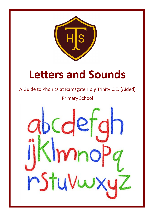

# **Letters and Sounds**

A Guide to Phonics at Ramsgate Holy Trinity C.E. (Aided)

Primary School

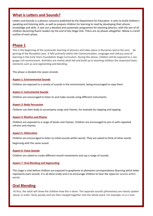## **What is Letters and Sounds?**

Letters and Sounds is a phonics resource published by the Department for Education. It aims to build children's speaking and listening skills, as well as prepare children for learning to read by developing their phonic knowledge and skills. It sets out a detailed and systematic programme for teaching phonics, with the aim of all children becoming fluent readers by the end of Key Stage One. There are six phases altogether. Below is a brief outline of each phase.

## **Phase 1**

This is the beginning of the systematic learning of phonics and takes place in Nurseries and at the very beginning of the Reception year. It falls primarily within the Communication, Language and Literacy area of learning in the Early Years Foundation Stage Curriculum. During this phase, children will be exposed to a language-rich environment. Activities are mainly adult led and build up to teaching children the important basic elements such as oral segmenting and blending.

This phase is divided into seven strands:

#### **Aspect 1: Environmental Sounds**

Children are exposed to a variety of sounds in the environment, being encouraged to copy them.

#### **Aspect 2: Instrumental Sounds**

Children are encouraged to listen to and make sounds using different instruments.

#### **Aspect 3: Body Percussion**

Children use their body to accompany songs and rhymes, for example by clapping and tapping.

#### **Aspect 4: Rhythm and Rhyme**

Children are exposed to a range of books and rhymes. Children are encouraged to join in with repeated refrains and rhymes.

#### **Aspect 5: Alliteration**

Children are encouraged to listen to initial sounds within words. They are asked to think of other words

beginning with the same sound.

#### **Aspect 6: Voice Sounds**

Children are asked to create different mouth movements and say a range of sounds.

#### **Aspect 7: Oral Blending and Segmenting**

This stage is vital before children are exposed to grapheme to phoneme correspondence (learning which letter represents each sound). It is all done orally and is to encourage children to hear the separate sounds within words.

#### **Oral Blending**

At first, the adult will show the children how this is done. The separate sounds (phonemes) are clearly spoken aloud, in order, fairly quickly and are then merged together into the whole word. For example: m-a-n man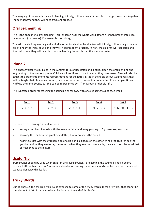The merging of the sounds is called blending. Initially, children may not be able to merge the sounds together independently and they will need frequent practice.

## **Oral Segmenting**

This is the opposite to oral blending. Here, children hear the whole word before it is then broken into separate sounds (phonemes). For example: dog d-o-g

This skill is called segmenting and is vital in order for children be able to spell. Initially, children might only be able to hear the initial sound and they will need frequent practice. At first, the children will just listen and then with time, they will be able to join in, hearing the words that the sounds create.

# **Phase 2**

This phase typically takes place in the Autumn term of Reception and it builds upon the oral blending and segmenting of the previous phase. Children will continue to practise what they have learnt. They will also be taught the grapheme-phoneme representations for the letters listed in the table below. Additionally, they will be taught that phonemes (sounds) can be represented by more than one letter. For example: **fi**n and huff use the same sound, but this can be represented by 'f' on its own or double 'ff'.

The suggested order for teaching the sounds is as follows, with one set being taught each week.

| <u>Set 1</u> | <u>Set 2</u> | Set 3   | <u>Set 4</u> | <b>Set 5</b>     |
|--------------|--------------|---------|--------------|------------------|
| satp         | inmd         | g o c k | cke ur       | h b f,ff I,ll ss |

The process of learning a sound includes:

- saying a number of words with the same initial sound, exaggerating it. E.g. ssssnake, ssssssun.
- showing the children the grapheme (letter) that represents the sound.
- flashing a card with the grapheme on one side and a picture on the other. When the children see the grapheme side, they are to say the sound. When they see the picture side, they are to say the word that corresponds to the picture.

### **Useful Tip**

Pure sounds should be used when children are saying sounds. For example, the sound 'f' should be pronounced 'ffff' rather than 'fuh'. A useful video demonstrating these pure sounds can be found on the school's website alongside this leaflet.

## **Tricky Words**

During phase 2, the children will also be exposed to some of the tricky words; these are words that cannot be sounded out. A list of these words can be found at the end of this leaflet.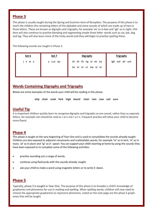## **Phase 3**

This phase is usually taught during the Spring and Summer term of Reception. The purpose of this phase is to teach the children the remaining letters of the alphabet and some sounds of which are made up of two or three letters. These are known as digraphs and trigraphs, for example 'ee' as in bee and 'igh' as in night. Children will also continue to practise blending and segmenting simple three letter words such as cat, bat, dog and log. They will also learn more of the tricky words and they will begin to practise spelling these.

The following sounds are taught in Phase 3.

| Set 6           | Set 7     | <b>Digraphs</b>      | <b>Trigraphs</b> |
|-----------------|-----------|----------------------|------------------|
| <b>V</b><br>W X | y z,zz qu | ch sh th ng ai ee oa | igh ear air ure  |
|                 |           | oo ar or ur ow oi er |                  |
|                 |           |                      |                  |

# **Words Containing Digraphs and Trigraphs**

Below are some examples of the words your child will be reading in this phase:

**ship chair cook fork high beard chair rain cow soil sure** 

# **Useful Tip**

It is important children quickly learn to recognise digraphs and trigraphs as one sound, rather than as separate letters, for example rain should be read as r-ai-n not r-a-i-n. Frequent practice will allow your child to become more fluent.

## **Phase 4**

This phase is taught at the very beginning of Year One and is used to consolidate the sounds already taught. Children are also exposed to adjacent consonants and multisyllabic words, for example 'nt' as in tent, 'st' as in toast, 'pl' as in plum and 'sp' as in spoon. You can support your child's learning at home by using the sounds they have been exposed to to complete some of the following activities:

- practise sounding out a range of words.
- continue using flashcards with the sounds already taught.
- ask your child to make a word using magnetic letters or to write it down.

# **Phase 5**

Typically, phase 5 is taught in Year One. The purpose of this phase is to broaden a child's knowledge of graphemes and phonemes for use in reading and spelling. When spelling words, children will now need to choose the appropriate graphemes to represent phonemes. Listed on the next page are the phase 5 graphemes that will be taught.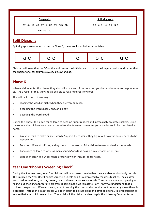

a-e e-e i-e o-e u-e

ew oe au

# **Split Digraphs**

Split digraphs are also introduced in Phase 5; these are listed below in the table.



Children will learn that the 'e' on the end causes the initial vowel to make the longer vowel sound rather that the shorter one, for example ay, ee, igh, ow and oo.

# **Phase 6**

When children enter this phase, they should know most of the common grapheme-phoneme correspondences. As a result of this, they should be able to read hundreds of words.

This will be in one of three ways:

- reading the word on sight when they are very familiar.
- decoding the word quickly and/or silently.
- decoding the word aloud.

During this phase, the aim is for children to become fluent readers and increasingly accurate spellers. Using the sounds the children have been exposed to, the following games and/or activities could be completed at home.

- Ask your child to make or spell words. Support them whilst they figure out how the sound needs to be represented.
- Focus on different suffixes, adding them to root words. Ask children to read and write the words.
- Encourage children to write as many sounds/words as possible in a set amount of time.
- Expose children to a wider range of stories which include longer texts.

# **Year One 'Phonics Screening Check'**

During the Summer term, Year One children will be assessed on whether they are able to phonically decode. This is called the Year One 'Phonics Screening Check' and it is completed by the class teacher. The children are asked to read forty words, twenty real and twenty nonsense words. The check is not about passing or failing, but checking appropriate progress is being made. At Ramsgate Holy Trinity we understand that all children progress at different speeds, so not reaching the threshold score does not necessarily mean there is a problem. Instead the class teacher will be in touch to discuss plans and offer additional, tailored support to ensure that your child can catch up. Your child will then take the check again the following Summer term.